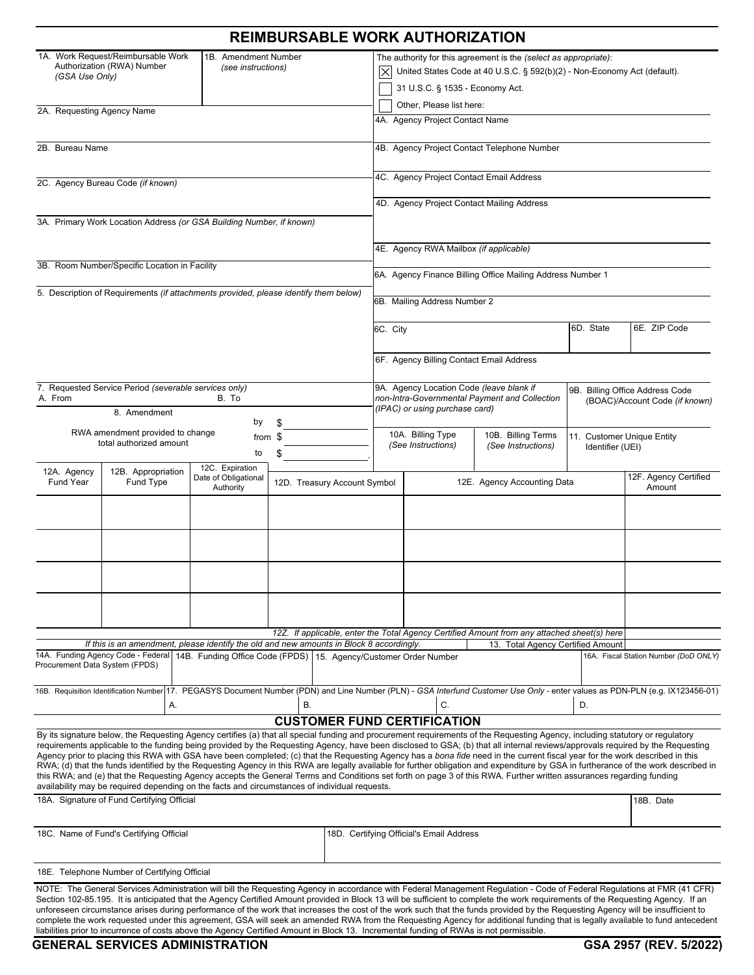|                                                                                                                                                                                                                                                                                                                                                                                                                                                                                                                                                                                                                                                                                                                                                                                                                                                                                                               |                                                      | <b>REIMBURSABLE WORK AUTHORIZATION</b> |  |                                                                                                                                                                                 |                                                                                                                                  |                                                |                                       |  |
|---------------------------------------------------------------------------------------------------------------------------------------------------------------------------------------------------------------------------------------------------------------------------------------------------------------------------------------------------------------------------------------------------------------------------------------------------------------------------------------------------------------------------------------------------------------------------------------------------------------------------------------------------------------------------------------------------------------------------------------------------------------------------------------------------------------------------------------------------------------------------------------------------------------|------------------------------------------------------|----------------------------------------|--|---------------------------------------------------------------------------------------------------------------------------------------------------------------------------------|----------------------------------------------------------------------------------------------------------------------------------|------------------------------------------------|---------------------------------------|--|
| 1A. Work Request/Reimbursable Work<br>1B. Amendment Number<br>Authorization (RWA) Number<br>(see instructions)<br>(GSA Use Only)                                                                                                                                                                                                                                                                                                                                                                                                                                                                                                                                                                                                                                                                                                                                                                              |                                                      |                                        |  | The authority for this agreement is the (select as appropriate):<br>United States Code at 40 U.S.C. § 592(b)(2) - Non-Economy Act (default).<br>31 U.S.C. § 1535 - Economy Act. |                                                                                                                                  |                                                |                                       |  |
| 2A. Requesting Agency Name                                                                                                                                                                                                                                                                                                                                                                                                                                                                                                                                                                                                                                                                                                                                                                                                                                                                                    |                                                      |                                        |  | Other, Please list here:<br>4A. Agency Project Contact Name                                                                                                                     |                                                                                                                                  |                                                |                                       |  |
| 2B. Bureau Name                                                                                                                                                                                                                                                                                                                                                                                                                                                                                                                                                                                                                                                                                                                                                                                                                                                                                               |                                                      |                                        |  | 4B. Agency Project Contact Telephone Number                                                                                                                                     |                                                                                                                                  |                                                |                                       |  |
|                                                                                                                                                                                                                                                                                                                                                                                                                                                                                                                                                                                                                                                                                                                                                                                                                                                                                                               |                                                      |                                        |  | 4C. Agency Project Contact Email Address                                                                                                                                        |                                                                                                                                  |                                                |                                       |  |
| 2C. Agency Bureau Code (if known)                                                                                                                                                                                                                                                                                                                                                                                                                                                                                                                                                                                                                                                                                                                                                                                                                                                                             |                                                      |                                        |  | 4D. Agency Project Contact Mailing Address                                                                                                                                      |                                                                                                                                  |                                                |                                       |  |
| 3A. Primary Work Location Address (or GSA Building Number, if known)                                                                                                                                                                                                                                                                                                                                                                                                                                                                                                                                                                                                                                                                                                                                                                                                                                          |                                                      |                                        |  |                                                                                                                                                                                 |                                                                                                                                  |                                                |                                       |  |
|                                                                                                                                                                                                                                                                                                                                                                                                                                                                                                                                                                                                                                                                                                                                                                                                                                                                                                               |                                                      | 4E. Agency RWA Mailbox (if applicable) |  |                                                                                                                                                                                 |                                                                                                                                  |                                                |                                       |  |
| 3B. Room Number/Specific Location in Facility                                                                                                                                                                                                                                                                                                                                                                                                                                                                                                                                                                                                                                                                                                                                                                                                                                                                 |                                                      |                                        |  | 6A. Agency Finance Billing Office Mailing Address Number 1                                                                                                                      |                                                                                                                                  |                                                |                                       |  |
| 5. Description of Requirements (if attachments provided, please identify them below)                                                                                                                                                                                                                                                                                                                                                                                                                                                                                                                                                                                                                                                                                                                                                                                                                          |                                                      | 6B. Mailing Address Number 2           |  |                                                                                                                                                                                 |                                                                                                                                  |                                                |                                       |  |
|                                                                                                                                                                                                                                                                                                                                                                                                                                                                                                                                                                                                                                                                                                                                                                                                                                                                                                               |                                                      |                                        |  |                                                                                                                                                                                 | 6D. State<br>6C. City                                                                                                            |                                                |                                       |  |
|                                                                                                                                                                                                                                                                                                                                                                                                                                                                                                                                                                                                                                                                                                                                                                                                                                                                                                               |                                                      |                                        |  | 6F. Agency Billing Contact Email Address                                                                                                                                        |                                                                                                                                  |                                                |                                       |  |
| 7. Requested Service Period (severable services only)                                                                                                                                                                                                                                                                                                                                                                                                                                                                                                                                                                                                                                                                                                                                                                                                                                                         |                                                      |                                        |  | 9A. Agency Location Code (leave blank if                                                                                                                                        |                                                                                                                                  |                                                | 9B. Billing Office Address Code       |  |
| A. From<br>8. Amendment                                                                                                                                                                                                                                                                                                                                                                                                                                                                                                                                                                                                                                                                                                                                                                                                                                                                                       | B. To                                                |                                        |  |                                                                                                                                                                                 | non-Intra-Governmental Payment and Collection<br>(BOAC)/Account Code (if known)<br>(IPAC) or using purchase card)                |                                                |                                       |  |
| RWA amendment provided to change<br>total authorized amount                                                                                                                                                                                                                                                                                                                                                                                                                                                                                                                                                                                                                                                                                                                                                                                                                                                   | by<br>to                                             | from \$<br>\$                          |  | 10A. Billing Type<br>(See Instructions)                                                                                                                                         | 10B. Billing Terms<br>(See Instructions)                                                                                         | 11. Customer Unique Entity<br>Identifier (UEI) |                                       |  |
| 12B. Appropriation<br>12A. Agency<br>Fund Type<br><b>Fund Year</b>                                                                                                                                                                                                                                                                                                                                                                                                                                                                                                                                                                                                                                                                                                                                                                                                                                            | 12C. Expiration<br>Date of Obligational<br>Authority | 12D. Treasury Account Symbol           |  | $\blacktriangledown$                                                                                                                                                            | $\blacktriangledown$<br>12E. Agency Accounting Data                                                                              |                                                | 12F. Agency Certified<br>Amount       |  |
|                                                                                                                                                                                                                                                                                                                                                                                                                                                                                                                                                                                                                                                                                                                                                                                                                                                                                                               |                                                      |                                        |  |                                                                                                                                                                                 |                                                                                                                                  |                                                |                                       |  |
|                                                                                                                                                                                                                                                                                                                                                                                                                                                                                                                                                                                                                                                                                                                                                                                                                                                                                                               |                                                      |                                        |  |                                                                                                                                                                                 |                                                                                                                                  |                                                |                                       |  |
| $\blacktriangledown$                                                                                                                                                                                                                                                                                                                                                                                                                                                                                                                                                                                                                                                                                                                                                                                                                                                                                          |                                                      |                                        |  |                                                                                                                                                                                 |                                                                                                                                  |                                                |                                       |  |
|                                                                                                                                                                                                                                                                                                                                                                                                                                                                                                                                                                                                                                                                                                                                                                                                                                                                                                               |                                                      |                                        |  |                                                                                                                                                                                 |                                                                                                                                  |                                                |                                       |  |
|                                                                                                                                                                                                                                                                                                                                                                                                                                                                                                                                                                                                                                                                                                                                                                                                                                                                                                               |                                                      |                                        |  |                                                                                                                                                                                 |                                                                                                                                  |                                                |                                       |  |
| If this is an amendment, please identify the old and new amounts in Block 8 accordingly.                                                                                                                                                                                                                                                                                                                                                                                                                                                                                                                                                                                                                                                                                                                                                                                                                      |                                                      |                                        |  |                                                                                                                                                                                 | 12Z. If applicable, enter the Total Agency Certified Amount from any attached sheet(s) here<br>13. Total Agency Certified Amount |                                                |                                       |  |
| 14A. Funding Agency Code - Federal<br>14B. Funding Office Code (FPDS) 15. Agency/Customer Order Number<br>Procurement Data System (FPDS)                                                                                                                                                                                                                                                                                                                                                                                                                                                                                                                                                                                                                                                                                                                                                                      |                                                      |                                        |  |                                                                                                                                                                                 |                                                                                                                                  |                                                | 16A. Fiscal Station Number (DoD ONLY) |  |
| 16B. Requisition Identification Number 17. PEGASYS Document Number (PDN) and Line Number (PLN) - GSA Interfund Customer Use Only - enter values as PDN-PLN (e.g. IX123456-01)                                                                                                                                                                                                                                                                                                                                                                                                                                                                                                                                                                                                                                                                                                                                 |                                                      |                                        |  |                                                                                                                                                                                 |                                                                                                                                  |                                                |                                       |  |
| А.                                                                                                                                                                                                                                                                                                                                                                                                                                                                                                                                                                                                                                                                                                                                                                                                                                                                                                            |                                                      | <b>B.</b>                              |  | C.<br><b>CUSTOMER FUND CERTIFICATION</b>                                                                                                                                        |                                                                                                                                  | D.                                             |                                       |  |
| By its signature below, the Requesting Agency certifies (a) that all special funding and procurement requirements of the Requesting Agency, including statutory or regulatory<br>requirements applicable to the funding being provided by the Requesting Agency, have been disclosed to GSA; (b) that all internal reviews/approvals required by the Requesting<br>Agency prior to placing this RWA with GSA have been completed; (c) that the Requesting Agency has a bona fide need in the current fiscal year for the work described in this<br>RWA; (d) that the funds identified by the Requesting Agency in this RWA are legally available for further obligation and expenditure by GSA in furtherance of the work described in<br>this RWA; and (e) that the Requesting Agency accepts the General Terms and Conditions set forth on page 3 of this RWA. Further written assurances regarding funding |                                                      |                                        |  |                                                                                                                                                                                 |                                                                                                                                  |                                                |                                       |  |
| availability may be required depending on the facts and circumstances of individual requests.<br>18A. Signature of Fund Certifying Official                                                                                                                                                                                                                                                                                                                                                                                                                                                                                                                                                                                                                                                                                                                                                                   |                                                      |                                        |  |                                                                                                                                                                                 | 18B. Date                                                                                                                        |                                                |                                       |  |
| 18C. Name of Fund's Certifying Official                                                                                                                                                                                                                                                                                                                                                                                                                                                                                                                                                                                                                                                                                                                                                                                                                                                                       |                                                      |                                        |  | 18D. Certifying Official's Email Address                                                                                                                                        |                                                                                                                                  |                                                |                                       |  |
| 18E. Telephone Number of Certifying Official                                                                                                                                                                                                                                                                                                                                                                                                                                                                                                                                                                                                                                                                                                                                                                                                                                                                  |                                                      |                                        |  |                                                                                                                                                                                 |                                                                                                                                  |                                                |                                       |  |
| NOTE: The General Services Administration will bill the Requesting Agency in accordance with Federal Management Regulation - Code of Federal Regulations at FMR (41 CFR)<br>Section 102-85.195. It is anticipated that the Agency Certified Amount provided in Block 13 will be sufficient to complete the work requirements of the Requesting Agency. If an<br>unforeseen circumstance arises during performance of the work that increases the cost of the work such that the funds provided by the Requesting Agency will be insufficient to<br>complete the work requested under this agreement, GSA will seek an amended RWA from the Requesting Agency for additional funding that is legally available to fund antecedent<br>liabilities prior to incurrence of costs above the Agency Certified Amount in Block 13. Incremental funding of RWAs is not permissible.                                   |                                                      |                                        |  |                                                                                                                                                                                 |                                                                                                                                  |                                                |                                       |  |
| <b>GENERAL SERVICES ADMINISTRATION</b>                                                                                                                                                                                                                                                                                                                                                                                                                                                                                                                                                                                                                                                                                                                                                                                                                                                                        |                                                      |                                        |  |                                                                                                                                                                                 |                                                                                                                                  |                                                | GSA 2957 (REV. 5/2022)                |  |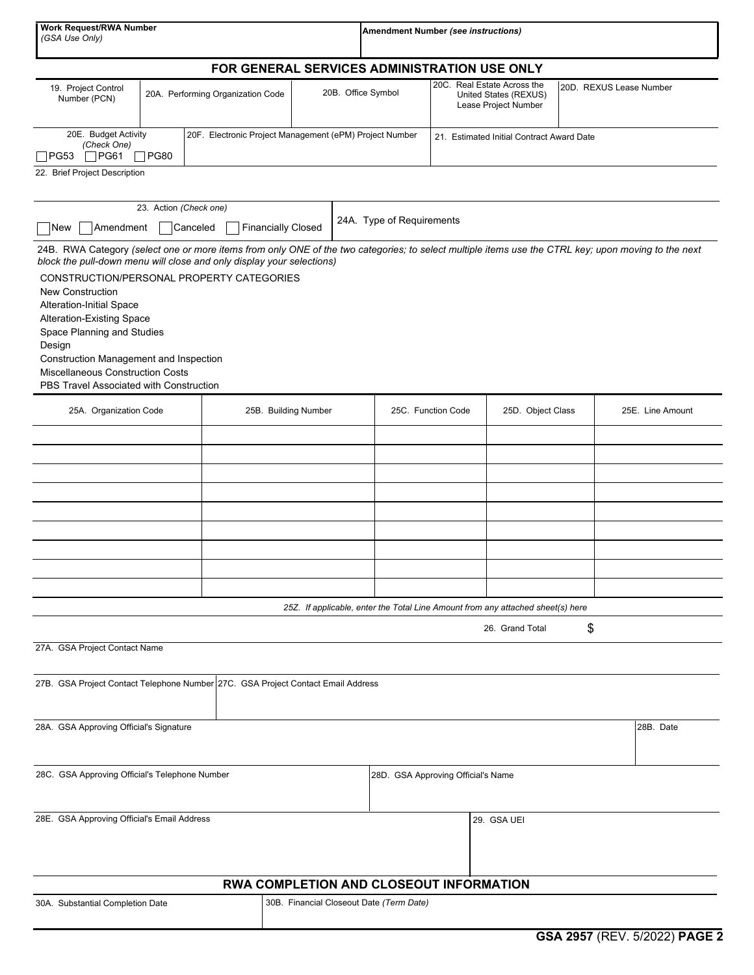| <b>Work Request/RWA Number</b><br>(GSA Use Only)                                                                                                                                                                                                                                                                                                                                                                                                                                                                                                    |                                                                        |                                   |                                                                                     |                           | <b>Amendment Number (see instructions)</b> |                                                                              |                                                                                 |                         |                  |  |
|-----------------------------------------------------------------------------------------------------------------------------------------------------------------------------------------------------------------------------------------------------------------------------------------------------------------------------------------------------------------------------------------------------------------------------------------------------------------------------------------------------------------------------------------------------|------------------------------------------------------------------------|-----------------------------------|-------------------------------------------------------------------------------------|---------------------------|--------------------------------------------|------------------------------------------------------------------------------|---------------------------------------------------------------------------------|-------------------------|------------------|--|
|                                                                                                                                                                                                                                                                                                                                                                                                                                                                                                                                                     |                                                                        |                                   | FOR GENERAL SERVICES ADMINISTRATION USE ONLY                                        |                           |                                            |                                                                              |                                                                                 |                         |                  |  |
| 19. Project Control<br>Number (PCN)                                                                                                                                                                                                                                                                                                                                                                                                                                                                                                                 |                                                                        | 20A. Performing Organization Code |                                                                                     | 20B. Office Symbol        |                                            | 20C. Real Estate Across the<br>United States (REXUS)<br>Lease Project Number |                                                                                 | 20D. REXUS Lease Number |                  |  |
| 20E. Budget Activity<br>(Check One)<br>$\Box$ PG61<br> PG53                                                                                                                                                                                                                                                                                                                                                                                                                                                                                         | 20F. Electronic Project Management (ePM) Project Number<br>$\neg$ PG80 |                                   |                                                                                     |                           | 21. Estimated Initial Contract Award Date  |                                                                              |                                                                                 |                         |                  |  |
| 22. Brief Project Description                                                                                                                                                                                                                                                                                                                                                                                                                                                                                                                       |                                                                        |                                   |                                                                                     |                           |                                            |                                                                              |                                                                                 |                         |                  |  |
| Amendment<br> New                                                                                                                                                                                                                                                                                                                                                                                                                                                                                                                                   | 23. Action (Check one)                                                 | Canceled                          | <b>Financially Closed</b>                                                           | 24A. Type of Requirements |                                            |                                                                              |                                                                                 |                         |                  |  |
| 24B. RWA Category (select one or more items from only ONE of the two categories; to select multiple items use the CTRL key; upon moving to the next<br>block the pull-down menu will close and only display your selections)<br>CONSTRUCTION/PERSONAL PROPERTY CATEGORIES<br><b>New Construction</b><br>Alteration-Initial Space<br><b>Alteration-Existing Space</b><br>Space Planning and Studies<br>Design<br><b>Construction Management and Inspection</b><br><b>Miscellaneous Construction Costs</b><br>PBS Travel Associated with Construction |                                                                        |                                   |                                                                                     |                           |                                            |                                                                              |                                                                                 |                         |                  |  |
| 25A. Organization Code                                                                                                                                                                                                                                                                                                                                                                                                                                                                                                                              |                                                                        |                                   | 25B. Building Number                                                                |                           | 25C. Function Code                         |                                                                              | 25D. Object Class                                                               |                         | 25E. Line Amount |  |
|                                                                                                                                                                                                                                                                                                                                                                                                                                                                                                                                                     |                                                                        |                                   |                                                                                     |                           |                                            |                                                                              |                                                                                 |                         |                  |  |
|                                                                                                                                                                                                                                                                                                                                                                                                                                                                                                                                                     |                                                                        |                                   |                                                                                     |                           |                                            |                                                                              |                                                                                 |                         |                  |  |
|                                                                                                                                                                                                                                                                                                                                                                                                                                                                                                                                                     |                                                                        |                                   |                                                                                     |                           |                                            |                                                                              |                                                                                 |                         |                  |  |
|                                                                                                                                                                                                                                                                                                                                                                                                                                                                                                                                                     |                                                                        |                                   |                                                                                     |                           |                                            |                                                                              |                                                                                 |                         |                  |  |
|                                                                                                                                                                                                                                                                                                                                                                                                                                                                                                                                                     |                                                                        |                                   |                                                                                     |                           |                                            |                                                                              |                                                                                 |                         |                  |  |
|                                                                                                                                                                                                                                                                                                                                                                                                                                                                                                                                                     |                                                                        |                                   |                                                                                     |                           |                                            |                                                                              |                                                                                 |                         |                  |  |
|                                                                                                                                                                                                                                                                                                                                                                                                                                                                                                                                                     |                                                                        |                                   |                                                                                     |                           |                                            |                                                                              | 25Z. If applicable, enter the Total Line Amount from any attached sheet(s) here |                         |                  |  |
|                                                                                                                                                                                                                                                                                                                                                                                                                                                                                                                                                     |                                                                        |                                   |                                                                                     |                           |                                            |                                                                              | 26. Grand Total                                                                 | \$                      |                  |  |
| 27A. GSA Project Contact Name                                                                                                                                                                                                                                                                                                                                                                                                                                                                                                                       |                                                                        |                                   |                                                                                     |                           |                                            |                                                                              |                                                                                 |                         |                  |  |
| 27B. GSA Project Contact Telephone Number 27C. GSA Project Contact Email Address                                                                                                                                                                                                                                                                                                                                                                                                                                                                    |                                                                        |                                   |                                                                                     |                           |                                            |                                                                              |                                                                                 |                         |                  |  |
| 28A. GSA Approving Official's Signature                                                                                                                                                                                                                                                                                                                                                                                                                                                                                                             |                                                                        |                                   |                                                                                     |                           |                                            |                                                                              |                                                                                 |                         | 28B. Date        |  |
| 28C. GSA Approving Official's Telephone Number                                                                                                                                                                                                                                                                                                                                                                                                                                                                                                      |                                                                        |                                   |                                                                                     |                           | 28D. GSA Approving Official's Name         |                                                                              |                                                                                 |                         |                  |  |
| 28E. GSA Approving Official's Email Address                                                                                                                                                                                                                                                                                                                                                                                                                                                                                                         |                                                                        |                                   |                                                                                     | 29. GSA UEI               |                                            |                                                                              |                                                                                 |                         |                  |  |
|                                                                                                                                                                                                                                                                                                                                                                                                                                                                                                                                                     |                                                                        |                                   |                                                                                     |                           |                                            |                                                                              |                                                                                 |                         |                  |  |
| 30A. Substantial Completion Date                                                                                                                                                                                                                                                                                                                                                                                                                                                                                                                    |                                                                        |                                   | RWA COMPLETION AND CLOSEOUT INFORMATION<br>30B. Financial Closeout Date (Term Date) |                           |                                            |                                                                              |                                                                                 |                         |                  |  |
|                                                                                                                                                                                                                                                                                                                                                                                                                                                                                                                                                     |                                                                        |                                   |                                                                                     |                           |                                            |                                                                              |                                                                                 |                         |                  |  |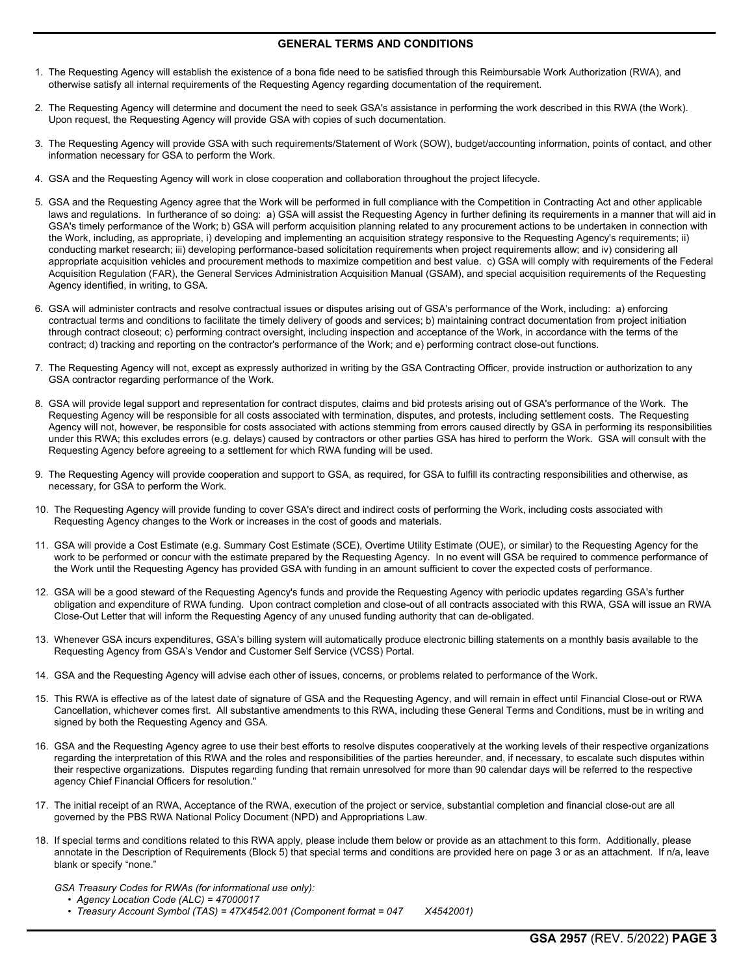# **GENERAL TERMS AND CONDITIONS**

- 1. The Requesting Agency will establish the existence of a bona fide need to be satisfied through this Reimbursable Work Authorization (RWA), and otherwise satisfy all internal requirements of the Requesting Agency regarding documentation of the requirement.
- 2. The Requesting Agency will determine and document the need to seek GSA's assistance in performing the work described in this RWA (the Work). Upon request, the Requesting Agency will provide GSA with copies of such documentation.
- 3. The Requesting Agency will provide GSA with such requirements/Statement of Work (SOW), budget/accounting information, points of contact, and other information necessary for GSA to perform the Work.
- 4. GSA and the Requesting Agency will work in close cooperation and collaboration throughout the project lifecycle.
- 5. GSA and the Requesting Agency agree that the Work will be performed in full compliance with the Competition in Contracting Act and other applicable laws and regulations. In furtherance of so doing: a) GSA will assist the Requesting Agency in further defining its requirements in a manner that will aid in GSA's timely performance of the Work; b) GSA will perform acquisition planning related to any procurement actions to be undertaken in connection with the Work, including, as appropriate, i) developing and implementing an acquisition strategy responsive to the Requesting Agency's requirements; ii) conducting market research; iii) developing performance-based solicitation requirements when project requirements allow; and iv) considering all appropriate acquisition vehicles and procurement methods to maximize competition and best value. c) GSA will comply with requirements of the Federal Acquisition Regulation (FAR), the General Services Administration Acquisition Manual (GSAM), and special acquisition requirements of the Requesting Agency identified, in writing, to GSA.
- 6. GSA will administer contracts and resolve contractual issues or disputes arising out of GSA's performance of the Work, including: a) enforcing contractual terms and conditions to facilitate the timely delivery of goods and services; b) maintaining contract documentation from project initiation through contract closeout; c) performing contract oversight, including inspection and acceptance of the Work, in accordance with the terms of the contract; d) tracking and reporting on the contractor's performance of the Work; and e) performing contract close-out functions.
- 7. The Requesting Agency will not, except as expressly authorized in writing by the GSA Contracting Officer, provide instruction or authorization to any GSA contractor regarding performance of the Work.
- 8. GSA will provide legal support and representation for contract disputes, claims and bid protests arising out of GSA's performance of the Work. The Requesting Agency will be responsible for all costs associated with termination, disputes, and protests, including settlement costs. The Requesting Agency will not, however, be responsible for costs associated with actions stemming from errors caused directly by GSA in performing its responsibilities under this RWA; this excludes errors (e.g. delays) caused by contractors or other parties GSA has hired to perform the Work. GSA will consult with the Requesting Agency before agreeing to a settlement for which RWA funding will be used.
- 9. The Requesting Agency will provide cooperation and support to GSA, as required, for GSA to fulfill its contracting responsibilities and otherwise, as necessary, for GSA to perform the Work.
- 10. The Requesting Agency will provide funding to cover GSA's direct and indirect costs of performing the Work, including costs associated with Requesting Agency changes to the Work or increases in the cost of goods and materials.
- 11. GSA will provide a Cost Estimate (e.g. Summary Cost Estimate (SCE), Overtime Utility Estimate (OUE), or similar) to the Requesting Agency for the work to be performed or concur with the estimate prepared by the Requesting Agency. In no event will GSA be required to commence performance of the Work until the Requesting Agency has provided GSA with funding in an amount sufficient to cover the expected costs of performance.
- 12. GSA will be a good steward of the Requesting Agency's funds and provide the Requesting Agency with periodic updates regarding GSA's further obligation and expenditure of RWA funding. Upon contract completion and close-out of all contracts associated with this RWA, GSA will issue an RWA Close-Out Letter that will inform the Requesting Agency of any unused funding authority that can de-obligated.
- 13. Whenever GSA incurs expenditures, GSA's billing system will automatically produce electronic billing statements on a monthly basis available to the Requesting Agency from GSA's Vendor and Customer Self Service (VCSS) Portal.
- 14. GSA and the Requesting Agency will advise each other of issues, concerns, or problems related to performance of the Work.
- 15. This RWA is effective as of the latest date of signature of GSA and the Requesting Agency, and will remain in effect until Financial Close-out or RWA Cancellation, whichever comes first. All substantive amendments to this RWA, including these General Terms and Conditions, must be in writing and signed by both the Requesting Agency and GSA.
- 16. GSA and the Requesting Agency agree to use their best efforts to resolve disputes cooperatively at the working levels of their respective organizations regarding the interpretation of this RWA and the roles and responsibilities of the parties hereunder, and, if necessary, to escalate such disputes within their respective organizations. Disputes regarding funding that remain unresolved for more than 90 calendar days will be referred to the respective agency Chief Financial Officers for resolution."
- 17. The initial receipt of an RWA, Acceptance of the RWA, execution of the project or service, substantial completion and financial close-out are all governed by the PBS RWA National Policy Document (NPD) and Appropriations Law.
- 18. If special terms and conditions related to this RWA apply, please include them below or provide as an attachment to this form. Additionally, please annotate in the Description of Requirements (Block 5) that special terms and conditions are provided here on page 3 or as an attachment. If n/a, leave blank or specify "none."
	- *GSA Treasury Codes for RWAs (for informational use only):* 
		- *Agency Location Code (ALC) = 47000017*
		- *Treasury Account Symbol (TAS) = 47X4542.001 (Component format = 047 X4542001)*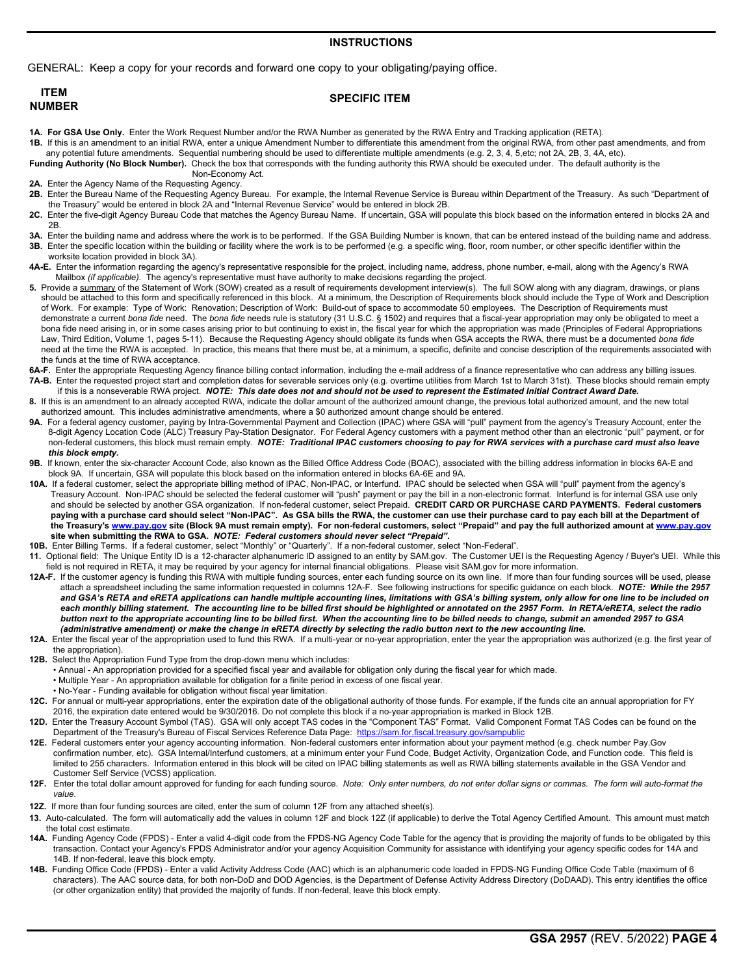### **INSTRUCTIONS**

GENERAL: Keep a copy for your records and forward one copy to your obligating/paying office.

| <b>ITEM</b>   | <b>SPECIFIC ITEM</b> |
|---------------|----------------------|
| <b>NUMBER</b> |                      |

**1A. For GSA Use Only.** Enter the Work Request Number and/or the RWA Number as generated by the RWA Entry and Tracking application (RETA).

**1B.** If this is an amendment to an initial RWA, enter a unique Amendment Number to differentiate this amendment from the original RWA, from other past amendments, and from any potential future amendments. Sequential numbering should be used to differentiate multiple amendments (e.g. 2, 3, 4, 5,etc; not 2A, 2B, 3, 4A, etc).

**Funding Authority (No Block Number).** Check the box that corresponds with the funding authority this RWA should be executed under. The default authority is the Non-Economy Act.

- **2A.** Enter the Agency Name of the Requesting Agency.
- **2B.** Enter the Bureau Name of the Requesting Agency Bureau. For example, the Internal Revenue Service is Bureau within Department of the Treasury. As such "Department of the Treasury" would be entered in block 2A and "Internal Revenue Service" would be entered in block 2B.
- **2C.** Enter the five-digit Agency Bureau Code that matches the Agency Bureau Name. If uncertain, GSA will populate this block based on the information entered in blocks 2A and 2B.
- **3A.** Enter the building name and address where the work is to be performed. If the GSA Building Number is known, that can be entered instead of the building name and address. **3B.** Enter the specific location within the building or facility where the work is to be performed (e.g. a specific wing, floor, room number, or other specific identifier within the worksite location provided in block 3A).
- **4A-E.** Enter the information regarding the agency's representative responsible for the project, including name, address, phone number, e-mail, along with the Agency's RWA Mailbox *(if applicable)*. The agency's representative must have authority to make decisions regarding the project.
- **5.** Provide a summary of the Statement of Work (SOW) created as a result of requirements development interview(s). The full SOW along with any diagram, drawings, or plans should be attached to this form and specifically referenced in this block. At a minimum, the Description of Requirements block should include the Type of Work and Description of Work. For example: Type of Work: Renovation; Description of Work: Build-out of space to accommodate 50 employees. The Description of Requirements must demonstrate a current *bona fide* need. The *bona fide* needs rule is statutory (31 U.S.C. § 1502) and requires that a fiscal-year appropriation may only be obligated to meet a bona fide need arising in, or in some cases arising prior to but continuing to exist in, the fiscal year for which the appropriation was made (Principles of Federal Appropriations Law, Third Edition, Volume 1, pages 5-11). Because the Requesting Agency should obligate its funds when GSA accepts the RWA, there must be a documented *bona fide*  need at the time the RWA is accepted. In practice, this means that there must be, at a minimum, a specific, definite and concise description of the requirements associated with the funds at the time of RWA acceptance.
- 6A-F. Enter the appropriate Requesting Agency finance billing contact information, including the e-mail address of a finance representative who can address any billing issues. **7A-B.** Enter the requested project start and completion dates for severable services only (e.g. overtime utilities from March 1st to March 31st). These blocks should remain empty
- if this is a nonseverable RWA project. *NOTE: This date does not and should not be used to represent the Estimated Initial Contract Award Date.*  **8.** If this is an amendment to an already accepted RWA, indicate the dollar amount of the authorized amount change, the previous total authorized amount, and the new total
- authorized amount. This includes administrative amendments, where a \$0 authorized amount change should be entered.
- **9A.** For a federal agency customer, paying by Intra-Governmental Payment and Collection (IPAC) where GSA will "pull" payment from the agency's Treasury Account, enter the 8-digit Agency Location Code (ALC) Treasury Pay-Station Designator. For Federal Agency customers with a payment method other than an electronic "pull" payment, or for non-federal customers, this block must remain empty. *NOTE: Traditional IPAC customers choosing to pay for RWA services with a purchase card must also leave this block empty.*
- **9B.** If known, enter the six-character Account Code, also known as the Billed Office Address Code (BOAC), associated with the billing address information in blocks 6A-E and block 9A. If uncertain, GSA will populate this block based on the information entered in blocks 6A-6E and 9A.
- **10A.** If a federal customer, select the appropriate billing method of IPAC, Non-IPAC, or Interfund. IPAC should be selected when GSA will "pull" payment from the agency's Treasury Account. Non-IPAC should be selected the federal customer will "push" payment or pay the bill in a non-electronic format. Interfund is for internal GSA use only and should be selected by another GSA organization. If non-federal customer, select Prepaid. **CREDIT CARD OR PURCHASE CARD PAYMENTS. Federal customers**  paying with a purchase card should select "Non-IPAC". As GSA bills the RWA, the customer can use their purchase card to pay each bill at the Department of  **the Treasury's <www.pay.gov>site (Block 9A must remain empty). For non-federal customers, select "Prepaid" and pay the full authorized amount at<www.pay.gov> site when submitting the RWA to GSA.** *NOTE: Federal customers should never select "Prepaid"***.**
- **10B.** Enter Billing Terms. If a federal customer, select "Monthly" or "Quarterly". If a non-federal customer, select "Non-Federal".
- **11.** Optional field: The Unique Entity ID is a 12-character alphanumeric ID assigned to an entity by SAM.gov. The Customer UEI is the Requesting Agency / Buyer's UEI. While this field is not required in RETA, it may be required by your agency for internal financial obligations. Please visit SAM.gov for more information.
- **12A-F.** If the customer agency is funding this RWA with multiple funding sources, enter each funding source on its own line. If more than four funding sources will be used, please attach a spreadsheet including the same information requested in columns 12A-F. See following instructions for specific guidance on each block. *NOTE: While the 2957*  and GSA's RETA and eRETA applications can handle multiple accounting lines, limitations with GSA's billing system, only allow for one line to be included on each monthly billing statement. The accounting line to be billed first should be highlighted or annotated on the 2957 Form. In RETA/eRETA, select the radio  *button next to the appropriate accounting line to be billed first. When the accounting line to be billed needs to change, submit an amended 2957 to GSA (administrative amendment) or make the change in eRETA directly by selecting the radio button next to the new accounting line.*
- **12A.** Enter the fiscal year of the appropriation used to fund this RWA. If a multi-year or no-year appropriation, enter the year the appropriation was authorized (e.g. the first year of the appropriation).
- **12B.** Select the Appropriation Fund Type from the drop-down menu which includes:
	- Annual An appropriation provided for a specified fiscal year and available for obligation only during the fiscal year for which made.
	- Multiple Year An appropriation available for obligation for a finite period in excess of one fiscal year.
- No-Year Funding available for obligation without fiscal year limitation.
- **12C.** For annual or multi-year appropriations, enter the expiration date of the obligational authority of those funds. For example, if the funds cite an annual appropriation for FY 2016, the expiration date entered would be 9/30/2016. Do not complete this block if a no-year appropriation is marked in Block 12B.
- **12D.** Enter the Treasury Account Symbol (TAS). GSA will only accept TAS codes in the "Component TAS" Format. Valid Component Format TAS Codes can be found on the Department of the Treasury's Bureau of Fiscal Services Reference Data Page: <https://sam.for.fiscal.treasury.gov/sampublic>
- **12E.** Federal customers enter your agency accounting information. Non-federal customers enter information about your payment method (e.g. check number Pay.Gov confirmation number, etc). GSA Internal/Interfund customers, at a minimum enter your Fund Code, Budget Activity, Organization Code, and Function code. This field is limited to 255 characters. Information entered in this block will be cited on IPAC billing statements as well as RWA billing statements available in the GSA Vendor and Customer Self Service (VCSS) application.<br>**12F** Enter the total dollar amount approved for the
- **12F.** Enter the total dollar amount approved for funding for each funding source. *Note: Only enter numbers, do not enter dollar signs or commas. The form will auto-format the value.*
- **12Z.** If more than four funding sources are cited, enter the sum of column 12F from any attached sheet(s).
- **13.** Auto-calculated. The form will automatically add the values in column 12F and block 12Z (if applicable) to derive the Total Agency Certified Amount. This amount must match the total cost estimate.
- **14A.** Funding Agency Code (FPDS) Enter a valid 4-digit code from the FPDS-NG Agency Code Table for the agency that is providing the majority of funds to be obligated by this transaction. Contact your Agency's FPDS Administrator and/or your agency Acquisition Community for assistance with identifying your agency specific codes for 14A and 14B. If non-federal, leave this block empty.
- **14B.** Funding Office Code (FPDS) Enter a valid Activity Address Code (AAC) which is an alphanumeric code loaded in FPDS-NG Funding Office Code Table (maximum of 6 characters). The AAC source data, for both non-DoD and DOD Agencies, is the Department of Defense Activity Address Directory (DoDAAD). This entry identifies the office (or other organization entity) that provided the majority of funds. If non-federal, leave this block empty.